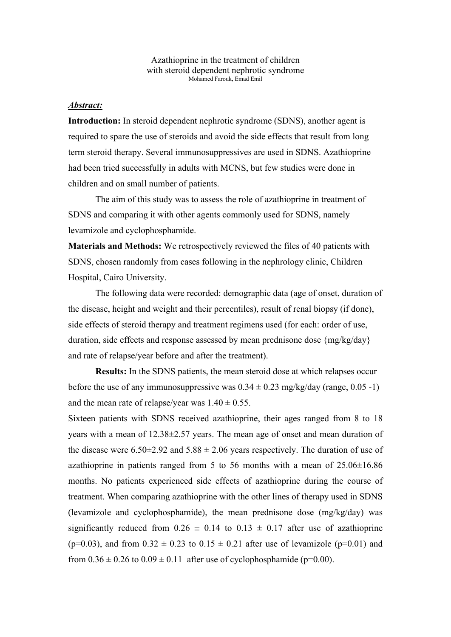Azathioprine in the treatment of children with steroid dependent nephrotic syndrome Mohamed Farouk, Emad Emil

# *Abstract:*

**Introduction:** In steroid dependent nephrotic syndrome (SDNS), another agent is required to spare the use of steroids and avoid the side effects that result from long term steroid therapy. Several immunosuppressives are used in SDNS. Azathioprine had been tried successfully in adults with MCNS, but few studies were done in children and on small number of patients.

The aim of this study was to assess the role of azathioprine in treatment of SDNS and comparing it with other agents commonly used for SDNS, namely levamizole and cyclophosphamide.

**Materials and Methods:** We retrospectively reviewed the files of 40 patients with SDNS, chosen randomly from cases following in the nephrology clinic, Children Hospital, Cairo University.

The following data were recorded: demographic data (age of onset, duration of the disease, height and weight and their percentiles), result of renal biopsy (if done), side effects of steroid therapy and treatment regimens used (for each: order of use, duration, side effects and response assessed by mean prednisone dose {mg/kg/day} and rate of relapse/year before and after the treatment).

**Results:** In the SDNS patients, the mean steroid dose at which relapses occur before the use of any immunosuppressive was  $0.34 \pm 0.23$  mg/kg/day (range, 0.05 -1) and the mean rate of relapse/year was  $1.40 \pm 0.55$ .

Sixteen patients with SDNS received azathioprine, their ages ranged from 8 to 18 years with a mean of 12.38±2.57 years. The mean age of onset and mean duration of the disease were  $6.50\pm2.92$  and  $5.88\pm2.06$  years respectively. The duration of use of azathioprine in patients ranged from 5 to 56 months with a mean of  $25.06\pm16.86$ months. No patients experienced side effects of azathioprine during the course of treatment. When comparing azathioprine with the other lines of therapy used in SDNS (levamizole and cyclophosphamide), the mean prednisone dose (mg/kg/day) was significantly reduced from  $0.26 \pm 0.14$  to  $0.13 \pm 0.17$  after use of azathioprine (p=0.03), and from  $0.32 \pm 0.23$  to  $0.15 \pm 0.21$  after use of levamizole (p=0.01) and from  $0.36 \pm 0.26$  to  $0.09 \pm 0.11$  after use of cyclophosphamide (p=0.00).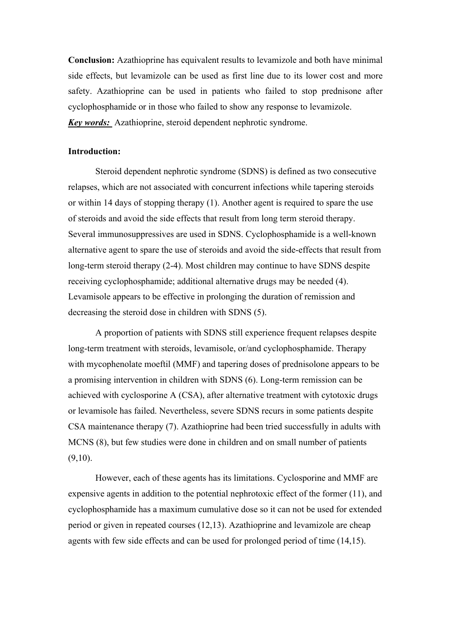**Conclusion:** Azathioprine has equivalent results to levamizole and both have minimal side effects, but levamizole can be used as first line due to its lower cost and more safety. Azathioprine can be used in patients who failed to stop prednisone after cyclophosphamide or in those who failed to show any response to levamizole. *Key words:* Azathioprine, steroid dependent nephrotic syndrome.

#### **Introduction:**

Steroid dependent nephrotic syndrome (SDNS) is defined as two consecutive relapses, which are not associated with concurrent infections while tapering steroids or within 14 days of stopping therapy (1). Another agent is required to spare the use of steroids and avoid the side effects that result from long term steroid therapy. Several immunosuppressives are used in SDNS. Cyclophosphamide is a well-known alternative agent to spare the use of steroids and avoid the side-effects that result from long-term steroid therapy (2-4). Most children may continue to have SDNS despite receiving cyclophosphamide; additional alternative drugs may be needed (4). Levamisole appears to be effective in prolonging the duration of remission and decreasing the steroid dose in children with SDNS (5).

A proportion of patients with SDNS still experience frequent relapses despite long-term treatment with steroids, levamisole, or/and cyclophosphamide. Therapy with mycophenolate moeftil (MMF) and tapering doses of prednisolone appears to be a promising intervention in children with SDNS (6). Long-term remission can be achieved with cyclosporine A (CSA), after alternative treatment with cytotoxic drugs or levamisole has failed. Nevertheless, severe SDNS recurs in some patients despite CSA maintenance therapy (7). Azathioprine had been tried successfully in adults with MCNS (8), but few studies were done in children and on small number of patients  $(9,10)$ .

However, each of these agents has its limitations. Cyclosporine and MMF are expensive agents in addition to the potential nephrotoxic effect of the former (11), and cyclophosphamide has a maximum cumulative dose so it can not be used for extended period or given in repeated courses (12,13). Azathioprine and levamizole are cheap agents with few side effects and can be used for prolonged period of time (14,15).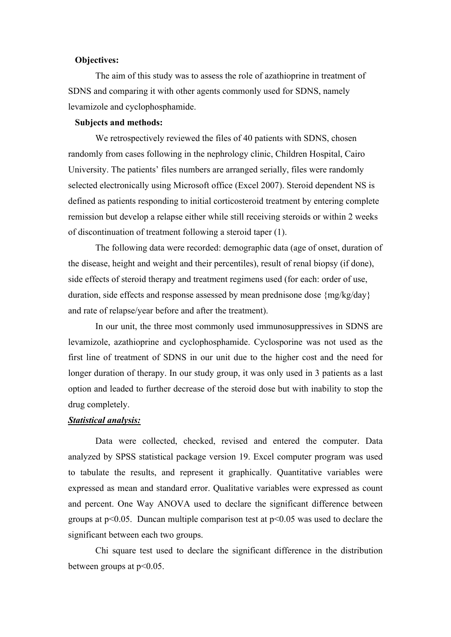### **Objectives:**

The aim of this study was to assess the role of azathioprine in treatment of SDNS and comparing it with other agents commonly used for SDNS, namely levamizole and cyclophosphamide.

## **Subjects and methods:**

We retrospectively reviewed the files of 40 patients with SDNS, chosen randomly from cases following in the nephrology clinic, Children Hospital, Cairo University. The patients' files numbers are arranged serially, files were randomly selected electronically using Microsoft office (Excel 2007). Steroid dependent NS is defined as patients responding to initial corticosteroid treatment by entering complete remission but develop a relapse either while still receiving steroids or within 2 weeks of discontinuation of treatment following a steroid taper (1).

The following data were recorded: demographic data (age of onset, duration of the disease, height and weight and their percentiles), result of renal biopsy (if done), side effects of steroid therapy and treatment regimens used (for each: order of use, duration, side effects and response assessed by mean prednisone dose {mg/kg/day} and rate of relapse/year before and after the treatment).

In our unit, the three most commonly used immunosuppressives in SDNS are levamizole, azathioprine and cyclophosphamide. Cyclosporine was not used as the first line of treatment of SDNS in our unit due to the higher cost and the need for longer duration of therapy. In our study group, it was only used in 3 patients as a last option and leaded to further decrease of the steroid dose but with inability to stop the drug completely.

#### *Statistical analysis:*

Data were collected, checked, revised and entered the computer. Data analyzed by SPSS statistical package version 19. Excel computer program was used to tabulate the results, and represent it graphically. Quantitative variables were expressed as mean and standard error. Qualitative variables were expressed as count and percent. One Way ANOVA used to declare the significant difference between groups at  $p<0.05$ . Duncan multiple comparison test at  $p<0.05$  was used to declare the significant between each two groups.

Chi square test used to declare the significant difference in the distribution between groups at p<0.05.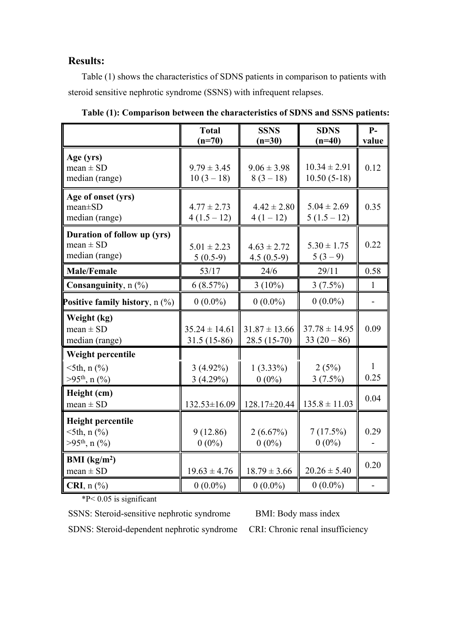# **Results:**

Table (1) shows the characteristics of SDNS patients in comparison to patients with steroid sensitive nephrotic syndrome (SSNS) with infrequent relapses.

|                                                                                     | <b>Total</b><br>$(n=70)$           | <b>SSNS</b><br>$(n=30)$            | <b>SDNS</b><br>$(n=40)$           | $P-$<br>value  |
|-------------------------------------------------------------------------------------|------------------------------------|------------------------------------|-----------------------------------|----------------|
| Age (yrs)<br>$mean \pm SD$<br>median (range)                                        | $9.79 \pm 3.45$<br>$10(3 - 18)$    | $9.06 \pm 3.98$<br>$8(3-18)$       | $10.34 \pm 2.91$<br>$10.50(5-18)$ | 0.12           |
| Age of onset (yrs)<br>$mean \pm SD$<br>median (range)                               | $4.77 \pm 2.73$<br>$4(1.5-12)$     | $4.42 \pm 2.80$<br>$4(1-12)$       | $5.04 \pm 2.69$<br>$5(1.5-12)$    | 0.35           |
| Duration of follow up (yrs)<br>mean $\pm$ SD<br>median (range)                      | $5.01 \pm 2.23$<br>$5(0.5-9)$      | $4.63 \pm 2.72$<br>$4.5(0.5-9)$    | $5.30 \pm 1.75$<br>$5(3-9)$       | 0.22           |
| <b>Male/Female</b>                                                                  | 53/17                              | 24/6                               | 29/11                             | 0.58           |
| Consanguinity, n (%)                                                                | 6(8.57%)                           | $3(10\%)$                          | $3(7.5\%)$                        | $\mathbf{1}$   |
| Positive family history, $n$ (%)                                                    | $0(0.0\%)$                         | $0(0.0\%)$                         | $0(0.0\%)$                        | $\blacksquare$ |
| Weight (kg)<br>$mean \pm SD$<br>median (range)                                      | $35.24 \pm 14.61$<br>$31.5(15-86)$ | $31.87 \pm 13.66$<br>$28.5(15-70)$ | $37.78 \pm 14.95$<br>$33(20-86)$  | 0.09           |
| Weight percentile<br>$5th$ , n $(\% )$<br>$>95th$ , n (%)                           | $3(4.92\%)$<br>3(4.29%)            | $1(3.33\%)$<br>$0(0\%)$            | 2(5%)<br>$3(7.5\%)$               | 1<br>0.25      |
| Height (cm)<br>$mean \pm SD$                                                        | 132.53±16.09                       | $128.17 \pm 20.44$                 | $135.8 \pm 11.03$                 | 0.04           |
| <b>Height percentile</b><br>$5th$ , n $\left(\frac{9}{6}\right)$<br>$>95th$ , n (%) | 9(12.86)<br>$0(0\%)$               | 2(6.67%)<br>$0(0\%)$               | 7(17.5%)<br>$0(0\%)$              | 0.29           |
| BMI $(kg/m2)$<br>$mean \pm SD$                                                      | $19.63 \pm 4.76$                   | $18.79 \pm 3.66$                   | $20.26 \pm 5.40$                  | 0.20           |
| $\mathbf{CRI}, \mathbf{n} \left( \frac{0}{0} \right)$                               | $0(0.0\%)$                         | $0(0.0\%)$                         | $0(0.0\%)$                        |                |

**Table (1): Comparison between the characteristics of SDNS and SSNS patients:**

\*P< 0.05 is significant

SSNS: Steroid-sensitive nephrotic syndrome BMI: Body mass index

SDNS: Steroid-dependent nephrotic syndrome CRI: Chronic renal insufficiency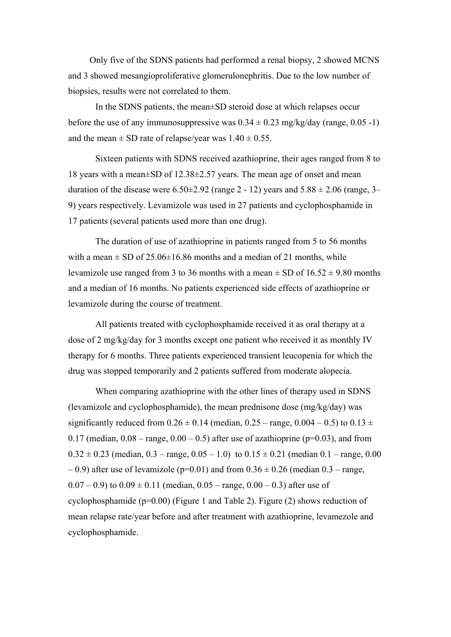Only five of the SDNS patients had performed a renal biopsy, 2 showed MCNS and 3 showed mesangioproliferative glomerulonephritis. Due to the low number of biopsies, results were not correlated to them.

In the SDNS patients, the mean±SD steroid dose at which relapses occur before the use of any immunosuppressive was  $0.34 \pm 0.23$  mg/kg/day (range, 0.05 -1) and the mean  $\pm$  SD rate of relapse/year was  $1.40 \pm 0.55$ .

Sixteen patients with SDNS received azathioprine, their ages ranged from 8 to 18 years with a mean±SD of 12.38±2.57 years. The mean age of onset and mean duration of the disease were  $6.50\pm2.92$  (range 2 - 12) years and  $5.88 \pm 2.06$  (range, 3– 9) years respectively. Levamizole was used in 27 patients and cyclophosphamide in 17 patients (several patients used more than one drug).

The duration of use of azathioprine in patients ranged from 5 to 56 months with a mean  $\pm$  SD of 25.06 $\pm$ 16.86 months and a median of 21 months, while levamizole use ranged from 3 to 36 months with a mean  $\pm$  SD of 16.52  $\pm$  9.80 months and a median of 16 months. No patients experienced side effects of azathioprine or levamizole during the course of treatment.

All patients treated with cyclophosphamide received it as oral therapy at a dose of 2 mg/kg/day for 3 months except one patient who received it as monthly IV therapy for 6 months. Three patients experienced transient leucopenia for which the drug was stopped temporarily and 2 patients suffered from moderate alopecia.

When comparing azathioprine with the other lines of therapy used in SDNS (levamizole and cyclophosphamide), the mean prednisone dose ( $mg/kg/day$ ) was significantly reduced from  $0.26 \pm 0.14$  (median,  $0.25 - \text{range}$ ,  $0.004 - 0.5$ ) to  $0.13 \pm 1.00$ 0.17 (median,  $0.08 - \text{range}$ ,  $0.00 - 0.5$ ) after use of azathioprine ( $p=0.03$ ), and from  $0.32 \pm 0.23$  (median,  $0.3 - \text{range}$ ,  $0.05 - 1.0$ ) to  $0.15 \pm 0.21$  (median  $0.1 - \text{range}$ ,  $0.00$ )  $-0.9$ ) after use of levamizole (p=0.01) and from  $0.36 \pm 0.26$  (median  $0.3$  – range,  $(0.07 - 0.9)$  to  $(0.09 \pm 0.11)$  (median,  $(0.05 - \text{range}, 0.00 - 0.3)$ ) after use of cyclophosphamide ( $p=0.00$ ) (Figure 1 and Table 2). Figure (2) shows reduction of mean relapse rate/year before and after treatment with azathioprine, levamezole and cyclophosphamide.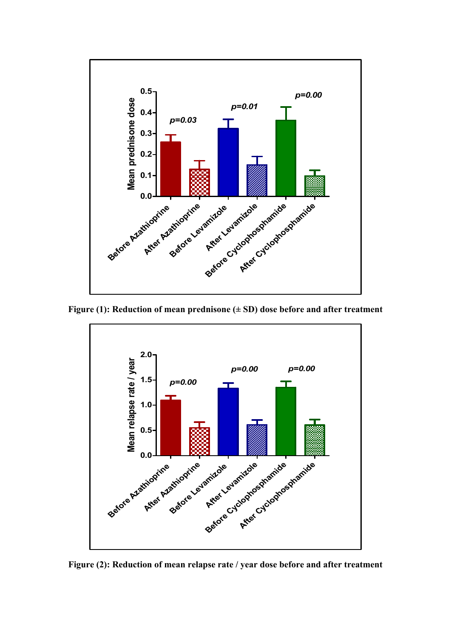

**Figure (1): Reduction of mean prednisone (± SD) dose before and after treatment**



**Figure (2): Reduction of mean relapse rate / year dose before and after treatment**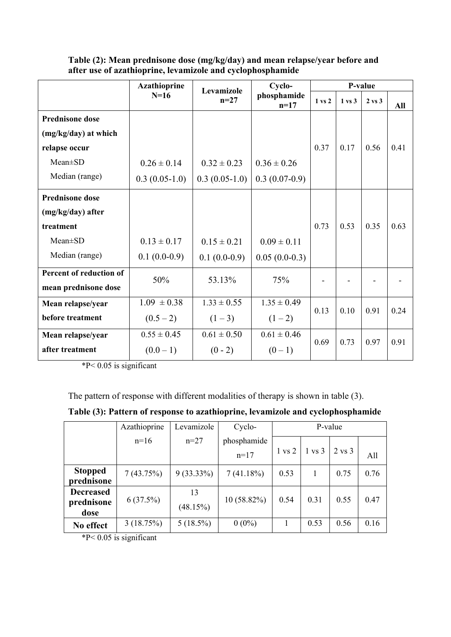|                         | <b>Azathioprine</b><br>Levamizole |                 | Cyclo-                | P-value           |                   |                   |            |
|-------------------------|-----------------------------------|-----------------|-----------------------|-------------------|-------------------|-------------------|------------|
|                         | $N=16$                            | $n=27$          | phosphamide<br>$n=17$ | $1 \text{ vs } 2$ | $1 \text{ vs } 3$ | $2 \text{ vs } 3$ | <b>All</b> |
| <b>Prednisone dose</b>  |                                   |                 |                       |                   |                   |                   |            |
| (mg/kg/day) at which    |                                   |                 |                       |                   |                   |                   |            |
| relapse occur           |                                   |                 |                       | 0.37              | 0.17              | 0.56              | 0.41       |
| Mean±SD                 | $0.26 \pm 0.14$                   | $0.32 \pm 0.23$ | $0.36 \pm 0.26$       |                   |                   |                   |            |
| Median (range)          | $0.3(0.05-1.0)$                   | $0.3(0.05-1.0)$ | $0.3(0.07-0.9)$       |                   |                   |                   |            |
| <b>Prednisone dose</b>  |                                   |                 |                       |                   |                   |                   |            |
| (mg/kg/day) after       |                                   |                 |                       |                   |                   |                   |            |
| treatment               |                                   |                 |                       | 0.73              | 0.53              | 0.35              | 0.63       |
| Mean±SD                 | $0.13 \pm 0.17$                   | $0.15 \pm 0.21$ | $0.09 \pm 0.11$       |                   |                   |                   |            |
| Median (range)          | $0.1(0.0-0.9)$                    | $0.1(0.0-0.9)$  | $0.05(0.0-0.3)$       |                   |                   |                   |            |
| Percent of reduction of | 50%                               | 53.13%          | 75%                   |                   |                   |                   |            |
| mean prednisone dose    |                                   |                 |                       |                   |                   |                   |            |
| Mean relapse/year       | $1.09 \pm 0.38$                   | $1.33 \pm 0.55$ | $1.35 \pm 0.49$       | 0.10<br>0.13      |                   | 0.91              | 0.24       |
| before treatment        | $(0.5 - 2)$                       | $(1-3)$         | $(1-2)$               |                   |                   |                   |            |
| Mean relapse/year       | $0.55 \pm 0.45$                   | $0.61 \pm 0.50$ | $0.61 \pm 0.46$       | 0.69              | 0.73              | 0.97              | 0.91       |
| after treatment         | $(0.0-1)$                         | $(0 - 2)$       | $(0-1)$               |                   |                   |                   |            |

**Table (2): Mean prednisone dose (mg/kg/day) and mean relapse/year before and after use of azathioprine, levamizole and cyclophosphamide**

 $*P< 0.05$  is significant

The pattern of response with different modalities of therapy is shown in table (3).

|                                        | Azathioprine              | Levamizole     | Cyclo-      | P-value           |                   |                   |      |
|----------------------------------------|---------------------------|----------------|-------------|-------------------|-------------------|-------------------|------|
|                                        | $n=16$                    | $n=27$         | phosphamide |                   |                   |                   |      |
|                                        |                           |                | $n=17$      | $1 \text{ vs } 2$ | $1 \text{ vs } 3$ | $2 \text{ vs } 3$ | All  |
| <b>Stopped</b><br>prednisone           | 7(43.75%)                 | $9(33.33\%)$   | 7(41.18%)   | 0.53              | 1                 | 0.75              | 0.76 |
| <b>Decreased</b><br>prednisone<br>dose | 6(37.5%)                  | 13<br>(48.15%) | 10 (58.82%) | 0.54              | 0.31              | 0.55              | 0.47 |
| No effect<br>$MN \cdot Q \cdot P$      | 3(18.75%)<br>$\cdot \sim$ | $5(18.5\%)$    | $0(0\%)$    |                   | 0.53              | 0.56              | 0.16 |

\*P< 0.05 is significant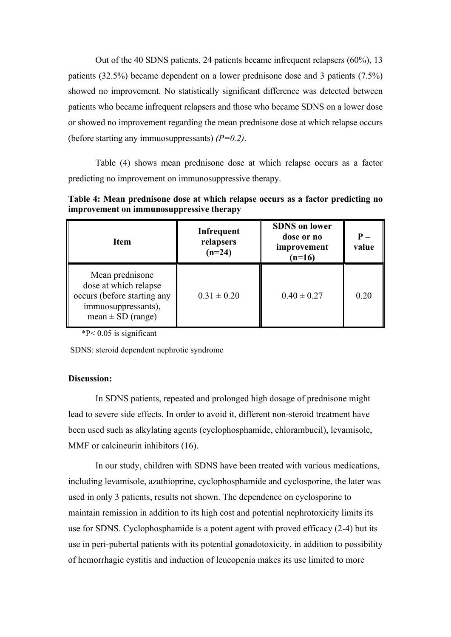Out of the 40 SDNS patients, 24 patients became infrequent relapsers (60%), 13 patients (32.5%) became dependent on a lower prednisone dose and 3 patients (7.5%) showed no improvement. No statistically significant difference was detected between patients who became infrequent relapsers and those who became SDNS on a lower dose or showed no improvement regarding the mean prednisone dose at which relapse occurs (before starting any immuosuppressants) *(P=0.2)*.

Table (4) shows mean prednisone dose at which relapse occurs as a factor predicting no improvement on immunosuppressive therapy.

| <b>Item</b>                                                                                                             | Infrequent<br>relapsers<br>$(n=24)$ | <b>SDNS</b> on lower<br>dose or no<br>improvement<br>$(n=16)$ | $P -$<br>value |
|-------------------------------------------------------------------------------------------------------------------------|-------------------------------------|---------------------------------------------------------------|----------------|
| Mean prednisone<br>dose at which relapse<br>occurs (before starting any<br>immuosuppressants),<br>mean $\pm$ SD (range) | $0.31 \pm 0.20$                     | $0.40 \pm 0.27$                                               | 0.20           |

**Table 4: Mean prednisone dose at which relapse occurs as a factor predicting no improvement on immunosuppressive therapy** 

 $*P< 0.05$  is significant

SDNS: steroid dependent nephrotic syndrome

# **Discussion:**

In SDNS patients, repeated and prolonged high dosage of prednisone might lead to severe side effects. In order to avoid it, different non-steroid treatment have been used such as alkylating agents (cyclophosphamide, chlorambucil), levamisole, MMF or calcineurin inhibitors (16).

In our study, children with SDNS have been treated with various medications, including levamisole, azathioprine, cyclophosphamide and cyclosporine, the later was used in only 3 patients, results not shown. The dependence on cyclosporine to maintain remission in addition to its high cost and potential nephrotoxicity limits its use for SDNS. Cyclophosphamide is a potent agent with proved efficacy (2-4) but its use in peri-pubertal patients with its potential gonadotoxicity, in addition to possibility of hemorrhagic cystitis and induction of leucopenia makes its use limited to more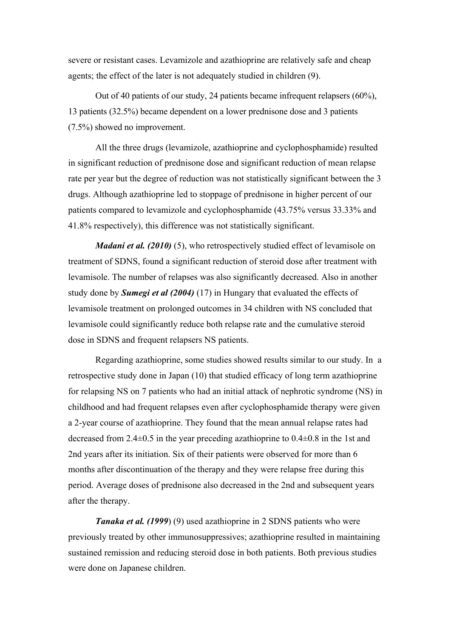severe or resistant cases. Levamizole and azathioprine are relatively safe and cheap agents; the effect of the later is not adequately studied in children (9).

Out of 40 patients of our study, 24 patients became infrequent relapsers (60%), 13 patients (32.5%) became dependent on a lower prednisone dose and 3 patients (7.5%) showed no improvement.

All the three drugs (levamizole, azathioprine and cyclophosphamide) resulted in significant reduction of prednisone dose and significant reduction of mean relapse rate per year but the degree of reduction was not statistically significant between the 3 drugs. Although azathioprine led to stoppage of prednisone in higher percent of our patients compared to levamizole and cyclophosphamide (43.75% versus 33.33% and 41.8% respectively), this difference was not statistically significant.

*Madani et al. (2010)* (5), who retrospectively studied effect of levamisole on treatment of SDNS, found a significant reduction of steroid dose after treatment with levamisole. The number of relapses was also significantly decreased. Also in another study done by *Sumegi et al (2004)* (17) in Hungary that evaluated the effects of levamisole treatment on prolonged outcomes in 34 children with NS concluded that levamisole could significantly reduce both relapse rate and the cumulative steroid dose in SDNS and frequent relapsers NS patients.

Regarding azathioprine, some studies showed results similar to our study. In a retrospective study done in Japan (10) that studied efficacy of long term azathioprine for relapsing NS on 7 patients who had an initial attack of nephrotic syndrome (NS) in childhood and had frequent relapses even after cyclophosphamide therapy were given a 2-year course of azathioprine. They found that the mean annual relapse rates had decreased from 2.4±0.5 in the year preceding azathioprine to 0.4±0.8 in the 1st and 2nd years after its initiation. Six of their patients were observed for more than 6 months after discontinuation of the therapy and they were relapse free during this period. Average doses of prednisone also decreased in the 2nd and subsequent years after the therapy.

*Tanaka et al. (1999*) (9) used azathioprine in 2 SDNS patients who were previously treated by other immunosuppressives; azathioprine resulted in maintaining sustained remission and reducing steroid dose in both patients. Both previous studies were done on Japanese children.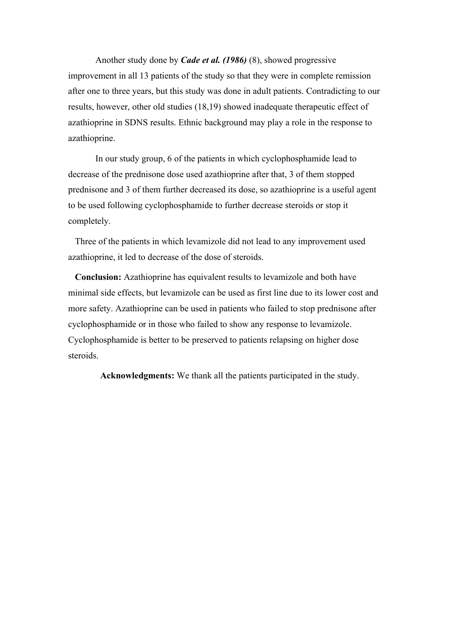Another study done by *Cade et al. (1986)* (8), showed progressive improvement in all 13 patients of the study so that they were in complete remission after one to three years, but this study was done in adult patients. Contradicting to our results, however, other old studies (18,19) showed inadequate therapeutic effect of azathioprine in SDNS results. Ethnic background may play a role in the response to azathioprine.

In our study group, 6 of the patients in which cyclophosphamide lead to decrease of the prednisone dose used azathioprine after that, 3 of them stopped prednisone and 3 of them further decreased its dose, so azathioprine is a useful agent to be used following cyclophosphamide to further decrease steroids or stop it completely.

Three of the patients in which levamizole did not lead to any improvement used azathioprine, it led to decrease of the dose of steroids.

**Conclusion:** Azathioprine has equivalent results to levamizole and both have minimal side effects, but levamizole can be used as first line due to its lower cost and more safety. Azathioprine can be used in patients who failed to stop prednisone after cyclophosphamide or in those who failed to show any response to levamizole. Cyclophosphamide is better to be preserved to patients relapsing on higher dose steroids.

 **Acknowledgments:** We thank all the patients participated in the study.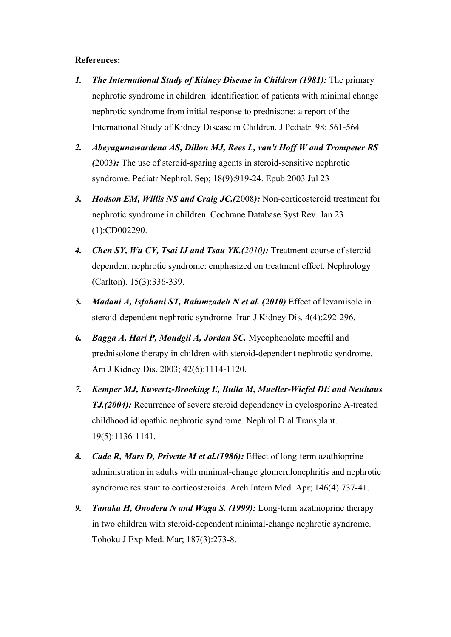# **References:**

- *1. The International Study of Kidney Disease in Children (1981):* The primary nephrotic syndrome in children: identification of patients with minimal change nephrotic syndrome from initial response to prednisone: a report of the International Study of Kidney Disease in Children. J Pediatr. 98: 561-564
- *2. [Abeyagunawardena AS,](http://www.ncbi.nlm.nih.gov/pubmed?term=Abeyagunawardena%2520AS%255BAuthor%255D&cauthor=true&cauthor_uid=10458484) [Dillon MJ,](http://www.ncbi.nlm.nih.gov/pubmed?term=Dillon%2520MJ%255BAuthor%255D&cauthor=true&cauthor_uid=10458484) [Rees L,](http://www.ncbi.nlm.nih.gov/pubmed?term=Rees%2520L%255BAuthor%255D&cauthor=true&cauthor_uid=10458484) [van't Hoff W](http://www.ncbi.nlm.nih.gov/pubmed?term=van) and [Trompeter RS](http://www.ncbi.nlm.nih.gov/pubmed?term=Trompeter%2520RS%255BAuthor%255D&cauthor=true&cauthor_uid=10458484)  (*2003*):* [The use of steroid-sparing agents in steroid-sensitive nephrotic](http://www.ncbi.nlm.nih.gov/pubmed/12883981.1)  [syndrome.](http://www.ncbi.nlm.nih.gov/pubmed/12883981.1) [Pediatr Nephrol.](http://www.ncbi.nlm.nih.gov/sites/entrez##) Sep; 18(9):919-24. Epub 2003 Jul 23
- *3. [Hodson EM,](http://www.ncbi.nlm.nih.gov/pubmed?term=Hodson%2520EM%255BAuthor%255D&cauthor=true&cauthor_uid=10458484) [Willis NS](http://www.ncbi.nlm.nih.gov/pubmed?term=Willis%2520NS%255BAuthor%255D&cauthor=true&cauthor_uid=10458484) and [Craig JC.](http://www.ncbi.nlm.nih.gov/pubmed?term=Craig%2520JC%255BAuthor%255D&cauthor=true&cauthor_uid=10458484)(*2008*):* [Non-corticosteroid treatment for](http://www.ncbi.nlm.nih.gov/pubmed/18254005.1)  [nephrotic syndrome in children.](http://www.ncbi.nlm.nih.gov/pubmed/18254005.1) [Cochrane Database Syst Rev.](http://www.ncbi.nlm.nih.gov/sites/entrez##) Jan 23 (1):CD002290.
- *4. Chen SY, Wu CY, Tsai IJ and Tsau YK.(2010):* Treatment course of steroiddependent nephrotic syndrome: emphasized on treatment effect. Nephrology (Carlton). 15(3):336-339.
- *5. Madani A, Isfahani ST, Rahimzadeh N et al. (2010)* Effect of levamisole in steroid-dependent nephrotic syndrome. Iran J Kidney Dis. 4(4):292-296.
- *6. Bagga A, Hari P, Moudgil A, Jordan SC.* Mycophenolate moeftil and prednisolone therapy in children with steroid-dependent nephrotic syndrome. Am J Kidney Dis. 2003; 42(6):1114-1120.
- *7. Kemper MJ, Kuwertz-Broeking E, Bulla M, Mueller-Wiefel DE and Neuhaus TJ.(2004):* Recurrence of severe steroid dependency in cyclosporine A-treated childhood idiopathic nephrotic syndrome. Nephrol Dial Transplant. 19(5):1136-1141.
- *8. [Cade R,](http://www.ncbi.nlm.nih.gov/pubmed?term=Cade%2520R%255BAuthor%255D&cauthor=true&cauthor_uid=10458484) [Mars D,](http://www.ncbi.nlm.nih.gov/pubmed?term=Mars%2520D%255BAuthor%255D&cauthor=true&cauthor_uid=10458484) [Privette M](http://www.ncbi.nlm.nih.gov/pubmed?term=Privette%2520M%255BAuthor%255D&cauthor=true&cauthor_uid=10458484) et al.(1986):* [Effect of long-term azathioprine](http://www.ncbi.nlm.nih.gov/pubmed/3963956.1)  [administration in adults with minimal-change glomerulonephritis and nephrotic](http://www.ncbi.nlm.nih.gov/pubmed/3963956.1)  [syndrome resistant to corticosteroids.](http://www.ncbi.nlm.nih.gov/pubmed/3963956.1) [Arch Intern Med.](http://www.ncbi.nlm.nih.gov/sites/entrez##) Apr; 146(4):737-41.
- *9. [Tanaka H,](http://www.ncbi.nlm.nih.gov/pubmed?term=Tanaka%2520H%255BAuthor%255D&cauthor=true&cauthor_uid=10458484) [Onodera N](http://www.ncbi.nlm.nih.gov/pubmed?term=Onodera%2520N%255BAuthor%255D&cauthor=true&cauthor_uid=10458484) and [Waga S.](http://www.ncbi.nlm.nih.gov/pubmed?term=Waga%2520S%255BAuthor%255D&cauthor=true&cauthor_uid=10458484) (1999):* [Long-term azathioprine therapy](http://www.ncbi.nlm.nih.gov/pubmed/10458484.1)  [in two children with steroid-dependent minimal-change nephrotic syndrome.](http://www.ncbi.nlm.nih.gov/pubmed/10458484.1) [Tohoku J Exp Med.](http://www.ncbi.nlm.nih.gov/sites/entrez##) Mar; 187(3):273-8.